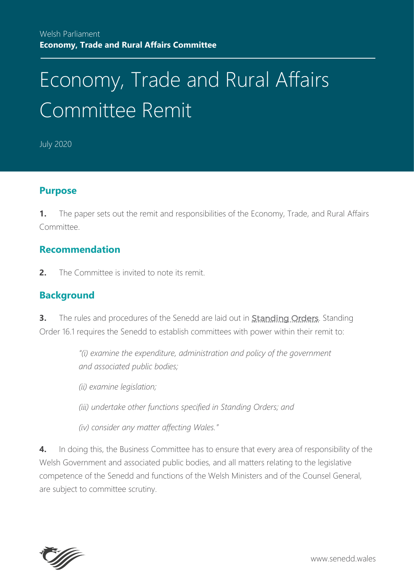# Economy, Trade and Rural Affairs Committee Remit

July 2020

#### **Purpose**

**1.** The paper sets out the remit and responsibilities of the Economy, Trade, and Rural Affairs Committee.

#### **Recommendation**

**2.** The Committee is invited to note its remit.

### **Background**

**3.** The rules and procedures of the Senedd are laid out in **[Standing Orders](https://senedd.wales/NAfW%20Documents/Assembly%20Business%20section%20documents/Standing_Orders/Clean_SOs.eng.pdf)**. Standing Order 16.1 requires the Senedd to establish committees with power within their remit to:

> *"(i) examine the expenditure, administration and policy of the government and associated public bodies;*

*(ii) examine legislation;*

*(iii) undertake other functions specified in Standing Orders; and*

*(iv) consider any matter affecting Wales."*

**4.** In doing this, the Business Committee has to ensure that every area of responsibility of the Welsh Government and associated public bodies, and all matters relating to the legislative competence of the Senedd and functions of the Welsh Ministers and of the Counsel General, are subject to committee scrutiny.